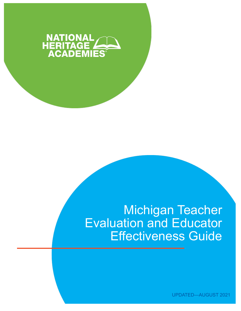

# Michigan Teacher<br>Evaluation and Educator **Effectiveness Guide**

**UPDATED-AUGUST 2021**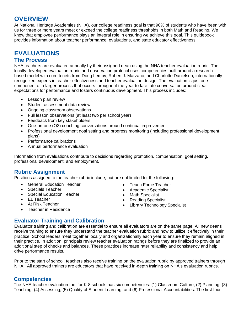## **OVERVIEW**

At National Heritage Academies (NHA), our college readiness goal is that 90% of students who have been with us for three or more years meet or exceed the college readiness thresholds in both Math and Reading. We know that employee performance plays an integral role in ensuring we achieve this goal. This guidebook provides information about teacher performance, evaluations, and state educator effectiveness.

## **EVALUATIONS**

## <span id="page-1-0"></span>**The Process**

NHA teachers are evaluated annually by their assigned dean using the NHA teacher evaluation rubric. The locally developed evaluation rubric and observation protocol uses competencies built around a researchbased model with core tenets from Doug Lemov, Robert J. Marzano, and Charlotte Danielson, internationally recognized experts in teacher effectiveness and teacher evaluation design. The evaluation is just one component of a larger process that occurs throughout the year to facilitate conversation around clear expectations for performance and fosters continuous development. This process includes:

- Lesson plan review
- Student assessment data review
- Ongoing classroom observations
- Full lesson observations (at least two per school year)
- Feedback from key stakeholders
- One-on-one (O3) coaching conversations around continual improvement
- Professional development goal setting and progress monitoring (including professional development plans)
- Performance calibrations
- Annual performance evaluation

Information from evaluations contribute to decisions regarding promotion, compensation, goal setting, professional development, and employment.

## <span id="page-1-1"></span>**Rubric Assignment**

Positions assigned to the teacher rubric include, but are not limited to, the following:

- General Education Teacher
- Specials Teacher
- Special Education Teacher
- EL Teacher
- At Risk Teacher
- Teacher in Residence
- Teach Force Teacher
- Academic Specialist
- Math Specialist
- Reading Specialist
- Library Technology Specialist

## <span id="page-1-2"></span>**Evaluator Training and Calibration**

Evaluator training and calibration are essential to ensure all evaluators are on the same page. All new deans receive training to ensure they understand the teacher evaluation rubric and how to utilize it effectively in their practice. School leaders meet together locally and organizationally each year to ensure they remain aligned in their practice. In addition, principals review teacher evaluation ratings before they are finalized to provide an additional step of checks and balances. These practices increase rater reliability and consistency and help drive performance results.

Prior to the start of school, teachers also receive training on the evaluation rubric by approved trainers through NHA. All approved trainers are educators that have received in-depth training on NHA's evaluation rubrics.

## <span id="page-1-4"></span><span id="page-1-3"></span>**Competencies**

The NHA teacher evaluation tool for K-8 schools has six competencies: (1) Classroom Culture, (2) Planning, (3) Teaching, (4) Assessing, (5) Quality of Student Learning, and (6) Professional Accountabilities. The first four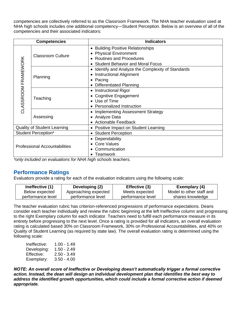competencies are collectively referred to as the Classroom Framework. The NHA teacher evaluation used at NHA high schools includes one additional competency—Student Perception. Below is an overview of all of the competencies and their associated indicators:

| <b>Competencies</b>                  |                          | <b>Indicators</b>                                |
|--------------------------------------|--------------------------|--------------------------------------------------|
| CLASSROOM FRAMEWORK                  | <b>Classroom Culture</b> | <b>Building Positive Relationships</b>           |
|                                      |                          | <b>Physical Environment</b>                      |
|                                      |                          | <b>Routines and Procedures</b>                   |
|                                      |                          | <b>Student Behavior and Moral Focus</b>          |
|                                      | Planning                 | Identify and Analyze the Complexity of Standards |
|                                      |                          | <b>Instructional Alignment</b>                   |
|                                      |                          | Pacing<br>$\bullet$                              |
|                                      |                          | <b>Differentiated Planning</b>                   |
|                                      | Teaching                 | <b>Instructional Rigor</b>                       |
|                                      |                          | <b>Cognitive Engagement</b>                      |
|                                      |                          | • Use of Time                                    |
|                                      |                          | <b>Personalized Instruction</b>                  |
|                                      | Assessing                | <b>Implementing Assessment Strategy</b>          |
|                                      |                          | Analyze Data                                     |
|                                      |                          | <b>Actionable Feedback</b>                       |
| <b>Quality of Student Learning</b>   |                          | Positive Impact on Student Learning              |
| <b>Student Perception*</b>           |                          | <b>Student Perception</b>                        |
| <b>Professional Accountabilities</b> |                          | Dependability                                    |
|                                      |                          | • Core Values                                    |
|                                      |                          | Communication                                    |
|                                      |                          | <b>Teamwork</b>                                  |

*\*only included on evaluations for NHA high schools teachers.*

## **Performance Ratings**

Evaluators provide a rating for each of the evaluation indicators using the following scale:

| Ineffective (1)   | Developing (2)       | Effective (3)     | Exemplary (4)            |
|-------------------|----------------------|-------------------|--------------------------|
| Below expected    | Approaching expected | Meets expected    | Model to other staff and |
| performance level | performance level    | performance level | shares knowledge         |

The teacher evaluation rubric has criterion-referenced progressions of performance expectations. Deans consider each teacher individually and review the rubric beginning at the left Ineffective column and progressing to the right Exemplary column for each indicator. Teachers need to fulfill each performance measure in its entirety before progressing to the next level. Once a rating is provided for all indicators, an overall evaluation rating is calculated based 30% on Classroom Framework, 30% on Professional Accountabilities, and 40% on Quality of Student Learning (as required by state law). The overall evaluation rating is determined using the following scale:

| $1.00 - 1.49$ |
|---------------|
| 1.50 - 2.49   |
| $2.50 - 3.49$ |
| $3.50 - 4.00$ |
|               |

*NOTE: An overall score of Ineffective or Developing doesn't automatically trigger a formal corrective action. Instead, the dean will design an individual development plan that identifies the best way to address the identified growth opportunities, which could include a formal corrective action if deemed appropriate.*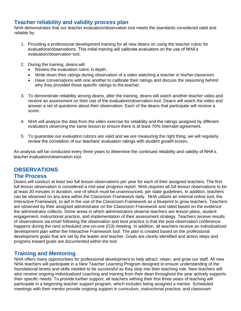## <span id="page-3-0"></span>**Teacher reliability and validity process plan**

NHA demonstrates that our teacher evaluation/observation tool meets the standards considered valid and reliable by:

- 1. Providing a professional development training for all new deans on using the teacher rubric for evaluations/observations. This initial training will calibrate evaluators on the use of NHA's evaluation/observation tool.
- 2. During the training, deans will:
	- Review the evaluation rubric in depth.
	- Write down their ratings during observation of a video watching a teacher in his/her classroom.
	- Have conversations with one another to calibrate their ratings and discuss the reasoning behind why they provided those specific ratings to the teacher.
- 3. To demonstrate reliability among deans, after the training, deans will watch another teacher video and receive an assessment on their use of the evaluation/observation tool. Deans will watch the video and answer a set of questions about their observation. Each of the deans that participate will receive a score.
- 4. NHA will analyze the data from the video exercise for reliability and the ratings assigned by different evaluators observing the same lesson to ensure there is at least 70% interrater agreement.
- 5. To guarantee our evaluation rubrics are valid and we are measuring the right thing, we will regularly review the correlation of our teachers' evaluation ratings with student growth scores.

An analysis will be conducted every three years to determine the continued reliability and validity of NHA's teacher evaluation/observation tool.

# **OBSERVATIONS**

### **The Process**

Deans will conduct at least two full lesson observations per year for each of their assigned teachers. The first full lesson observation is considered a mid-year progress report. NHA requires all full lesson observations to be at least 30 minutes in duration, one of which must be unannounced, per state guidelines. In addition, teachers can be observed on any area within the Classroom Framework daily. NHA utilizes an internal online tool, the Interactive Framework, to aid in the use of the Classroom Framework as a blueprint to grow teachers. Teachers are observed by their assigned administrator on the Classroom Framework and rated based on the evidence the administrator collects. Some areas in which administrators observe teachers are lesson plans, student engagement, instructional practice, and implementation of their assessment strategy. Teachers receive results of observations via email following the observation and best practice is that the post-observation conference happens during the next scheduled one-on-one (O3) meeting. In addition, all teachers receive an individualized development plan within the Interactive Framework tool. The plan is created based on the professional development goals that are set by the leader and teacher. Goals are clearly identified and action steps and progress toward goals are documented within the tool.

## **Training and Mentoring**

NHA offers many opportunities for professional development to help attract, retain, and grow our staff. All new NHA teachers will participate in a New Teacher Learning Program designed to ensure understanding of the foundational tenets and skills needed to be successful as they step into their teaching role. New teachers will also receive ongoing individualized coaching and training from their dean throughout the year actively supports their specific needs. To provide further support, all teachers withing their first three years of teaching will participate in a beginning teacher support program, which includes being assigned a mentor. Scheduled meetings with their mentor provide ongoing support in curriculum, instructional practice, and classroom